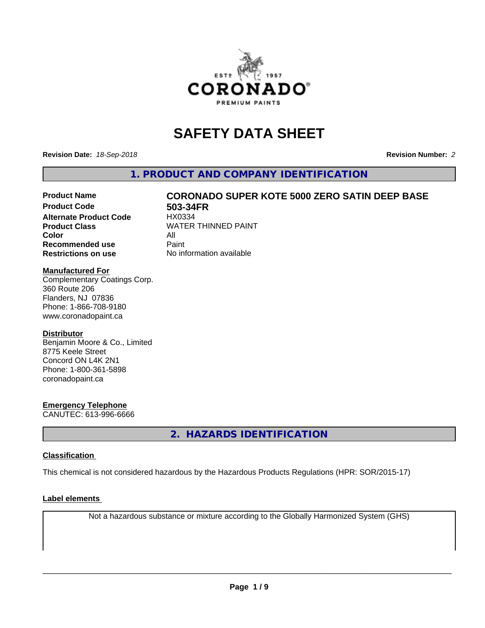

# **SAFETY DATA SHEET**

**Revision Date:** *18-Sep-2018* **Revision Number:** *2*

**1. PRODUCT AND COMPANY IDENTIFICATION**

# **Product Name CORONADO SUPER KOTE 5000 ZERO SATIN DEEP BASE**

**Product Code 503-34FR**<br>Alternate Product Code HX0334 **Alternate Product Code Color** All<br> **Recommended use** Paint **Recommended use Restrictions on use** No information available

**Product Class WATER THINNED PAINT** 

# **Manufactured For**

Complementary Coatings Corp. 360 Route 206 Flanders, NJ 07836 Phone: 1-866-708-9180 www.coronadopaint.ca

# **Distributor**

Benjamin Moore & Co., Limited 8775 Keele Street Concord ON L4K 2N1 Phone: 1-800-361-5898 coronadopaint.ca

# **Emergency Telephone**

CANUTEC: 613-996-6666

**2. HAZARDS IDENTIFICATION**

# **Classification**

This chemical is not considered hazardous by the Hazardous Products Regulations (HPR: SOR/2015-17)

# **Label elements**

Not a hazardous substance or mixture according to the Globally Harmonized System (GHS)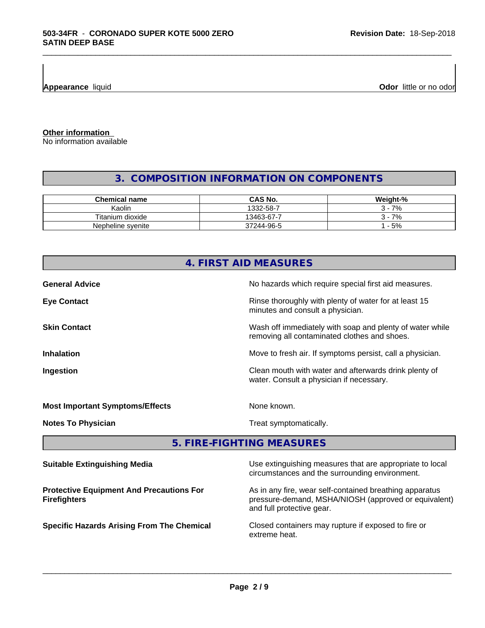**Appearance** liquid **Odor 11 Odor 11 Odor 11 Odor 11 Odor 11 Odor 11 Odor 11 Odor 11 Odor 11 Odor 11 Odor 11 Odor 11 Odor 11 Odor 11 Odor 11 Odor 11 Odor 11 Odor 11**

**Other information**

No information available

# **3. COMPOSITION INFORMATION ON COMPONENTS**

\_\_\_\_\_\_\_\_\_\_\_\_\_\_\_\_\_\_\_\_\_\_\_\_\_\_\_\_\_\_\_\_\_\_\_\_\_\_\_\_\_\_\_\_\_\_\_\_\_\_\_\_\_\_\_\_\_\_\_\_\_\_\_\_\_\_\_\_\_\_\_\_\_\_\_\_\_\_\_\_\_\_\_\_\_\_\_\_\_\_\_\_\_

| <b>Chemical name</b> | <b>CAS No.</b> | Weight-% |
|----------------------|----------------|----------|
| Kaolin               | 1332-58-       | 7%       |
| Titanium dioxide     | 13463-67-7     | 7%       |
| Nepheline syenite    | 37244-96-5     | $-5%$    |

| 4. FIRST AID MEASURES                                                  |                                                                                                                 |  |  |  |
|------------------------------------------------------------------------|-----------------------------------------------------------------------------------------------------------------|--|--|--|
| <b>General Advice</b>                                                  | No hazards which require special first aid measures.                                                            |  |  |  |
| <b>Eye Contact</b>                                                     | Rinse thoroughly with plenty of water for at least 15<br>minutes and consult a physician.                       |  |  |  |
| <b>Skin Contact</b>                                                    | Wash off immediately with soap and plenty of water while<br>removing all contaminated clothes and shoes.        |  |  |  |
| <b>Inhalation</b>                                                      | Move to fresh air. If symptoms persist, call a physician.                                                       |  |  |  |
| Ingestion                                                              | Clean mouth with water and afterwards drink plenty of<br>water. Consult a physician if necessary.               |  |  |  |
| <b>Most Important Symptoms/Effects</b>                                 | None known.                                                                                                     |  |  |  |
| <b>Notes To Physician</b>                                              | Treat symptomatically.                                                                                          |  |  |  |
|                                                                        | 5. FIRE-FIGHTING MEASURES                                                                                       |  |  |  |
| <b>Suitable Extinguishing Media</b>                                    | Use extinguishing measures that are appropriate to local<br>circumstances and the surrounding environment.      |  |  |  |
| <b>Protective Equipment And Precautions For</b><br><b>Firefighters</b> | As in any fire, wear self-contained breathing apparatus<br>pressure-demand, MSHA/NIOSH (approved or equivalent) |  |  |  |

pressure-demand, MSHA/NIOSH (approved or equivalent) and full protective gear.

**Specific Hazards Arising From The Chemical Closed containers may rupture if exposed to fire or** extreme heat.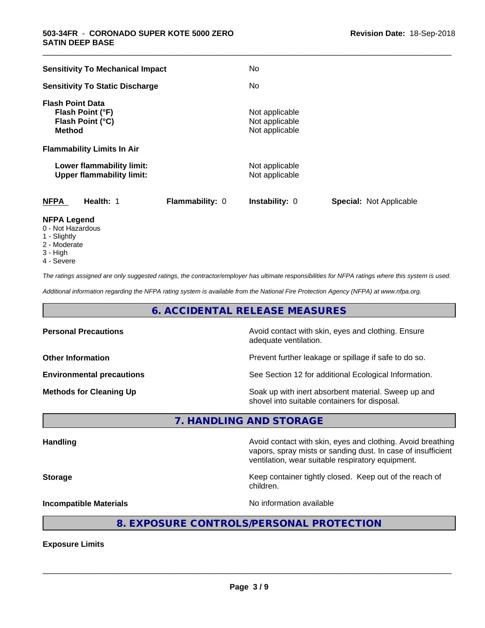| <b>Sensitivity To Mechanical Impact</b>                                          | No                                                 |                                |
|----------------------------------------------------------------------------------|----------------------------------------------------|--------------------------------|
| <b>Sensitivity To Static Discharge</b>                                           | <b>No</b>                                          |                                |
| <b>Flash Point Data</b><br>Flash Point (°F)<br>Flash Point (°C)<br><b>Method</b> | Not applicable<br>Not applicable<br>Not applicable |                                |
| <b>Flammability Limits In Air</b>                                                |                                                    |                                |
| Lower flammability limit:<br><b>Upper flammability limit:</b>                    | Not applicable<br>Not applicable                   |                                |
| <b>NFPA</b><br>Health: 1                                                         | Flammability: 0<br><b>Instability: 0</b>           | <b>Special: Not Applicable</b> |
| <b>NFPA Legend</b>                                                               |                                                    |                                |

\_\_\_\_\_\_\_\_\_\_\_\_\_\_\_\_\_\_\_\_\_\_\_\_\_\_\_\_\_\_\_\_\_\_\_\_\_\_\_\_\_\_\_\_\_\_\_\_\_\_\_\_\_\_\_\_\_\_\_\_\_\_\_\_\_\_\_\_\_\_\_\_\_\_\_\_\_\_\_\_\_\_\_\_\_\_\_\_\_\_\_\_\_

- 0 Not Hazardous
- 1 Slightly
- 2 Moderate
- 3 High
- 4 Severe

*The ratings assigned are only suggested ratings, the contractor/employer has ultimate responsibilities for NFPA ratings where this system is used.*

*Additional information regarding the NFPA rating system is available from the National Fire Protection Agency (NFPA) at www.nfpa.org.*

# **6. ACCIDENTAL RELEASE MEASURES**

| <b>Personal Precautions</b>      | Avoid contact with skin, eyes and clothing. Ensure<br>adequate ventilation.                          |
|----------------------------------|------------------------------------------------------------------------------------------------------|
| <b>Other Information</b>         | Prevent further leakage or spillage if safe to do so.                                                |
| <b>Environmental precautions</b> | See Section 12 for additional Ecological Information.                                                |
| <b>Methods for Cleaning Up</b>   | Soak up with inert absorbent material. Sweep up and<br>shovel into suitable containers for disposal. |

**7. HANDLING AND STORAGE**

Handling **Handling Avoid contact with skin, eyes and clothing. Avoid breathing Handling** vapors, spray mists or sanding dust. In case of insufficient ventilation, wear suitable respiratory equipment. **Storage Keep container tightly closed. Keep out of the reach of the reach of the reach of the reach of the reach of the reach of the reach of the reach of the reach of the reach of the reach of the reach of the reach of** children. **Incompatible Materials Incompatible Materials No information available** 

# **8. EXPOSURE CONTROLS/PERSONAL PROTECTION**

**Exposure Limits**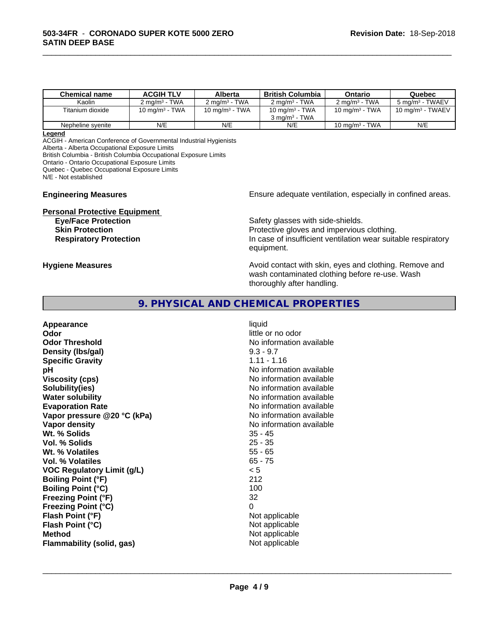| <b>Chemical name</b> | <b>ACGIH TLV</b>         | Alberta                  | <b>British Columbia</b>  | Ontario                  | Quebec                      |
|----------------------|--------------------------|--------------------------|--------------------------|--------------------------|-----------------------------|
| Kaolin               | $2 \text{ ma/m}^3$ - TWA | $2 \text{ ma/m}^3$ - TWA | $2 \text{ ma/m}^3$ - TWA | $2 \text{ ma/m}^3$ - TWA | 5 mg/m <sup>3</sup> - TWAEV |
| Titanium dioxide     | 10 mg/m $3$ - TWA        | 10 mg/m $3$ - TWA        | 10 mg/m $3$ - TWA        | 10 mg/m $3$ - TWA        | 10 mg/m $3$ - TWAEV         |
|                      |                          |                          | $3 \text{ ma/m}^3$ - TWA |                          |                             |
| Nepheline svenite    | N/E                      | N/E                      | N/E                      | 10 mg/m $3$ - TWA        | N/E                         |

\_\_\_\_\_\_\_\_\_\_\_\_\_\_\_\_\_\_\_\_\_\_\_\_\_\_\_\_\_\_\_\_\_\_\_\_\_\_\_\_\_\_\_\_\_\_\_\_\_\_\_\_\_\_\_\_\_\_\_\_\_\_\_\_\_\_\_\_\_\_\_\_\_\_\_\_\_\_\_\_\_\_\_\_\_\_\_\_\_\_\_\_\_

#### **Legend**

ACGIH - American Conference of Governmental Industrial Hygienists Alberta - Alberta Occupational Exposure Limits

British Columbia - British Columbia Occupational Exposure Limits

Ontario - Ontario Occupational Exposure Limits

Quebec - Quebec Occupational Exposure Limits

N/E - Not established

**Personal Protective Equipment**

**Engineering Measures Ensure** Ensure adequate ventilation, especially in confined areas.

**Eye/Face Protection Safety glasses with side-shields. Skin Protection Protection Protective gloves and impervious clothing. Respiratory Protection In case of insufficient ventilation wear suitable respiratory** equipment.

**Hygiene Measures Avoid contact with skin, eyes and clothing. Remove and Avoid contact with skin, eyes and clothing. Remove and Avoid contact with skin, eyes and clothing. Remove and** wash contaminated clothing before re-use. Wash thoroughly after handling.

# **9. PHYSICAL AND CHEMICAL PROPERTIES**

**Appearance** liquid **Odor** little or no odor **Odor Threshold No information available No information available Density (lbs/gal)** 9.3 - 9.7 **Specific Gravity** 1.11 - 1.16 **pH** No information available **Viscosity (cps)** No information available **Solubility(ies)** No information available **Water solubility Water solubility Water solubility Water solubility Water solubility Water solution Evaporation Rate No information available No information available Vapor pressure** @20 °C (kPa) **No information available Vapor density No information available Wt. % Solids** 35 - 45 **Vol. % Solids Wt. % Volatiles** 55 - 65 **Vol. % Volatiles** 65 - 75 **VOC Regulatory Limit (g/L)** < 5 **Boiling Point (°F)** 212 **Boiling Point (°C)** 100 **Freezing Point (°F)** 32 **Freezing Point (°C)** 0 **Flash Point (°F)** Not applicable **Flash Point (°C)** Not applicable **Method** Not applicable Not applicable **Flammability (solid, gas)** Not applicable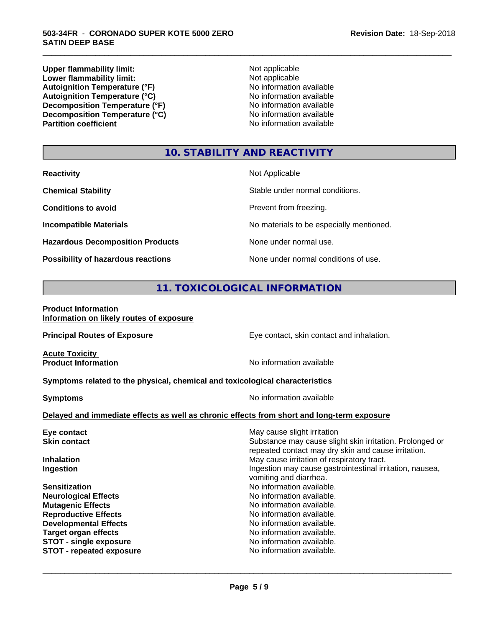**Upper flammability limit:**<br> **Lower flammability limit:**<br>
Not applicable<br>
Not applicable **Lower flammability limit:**<br> **Autoignition Temperature (°F)**<br>
Mo information available Autoignition Temperature (°F)<br>
Autoignition Temperature (°C)<br>
No information available Autoignition Temperature (°C)<br>
Decomposition Temperature (°F)<br>
No information available **Decomposition Temperature (°F)**<br> **Decomposition Temperature (°C)**<br>
No information available **Decomposition Temperature (°C) Partition coefficient** 

\_\_\_\_\_\_\_\_\_\_\_\_\_\_\_\_\_\_\_\_\_\_\_\_\_\_\_\_\_\_\_\_\_\_\_\_\_\_\_\_\_\_\_\_\_\_\_\_\_\_\_\_\_\_\_\_\_\_\_\_\_\_\_\_\_\_\_\_\_\_\_\_\_\_\_\_\_\_\_\_\_\_\_\_\_\_\_\_\_\_\_\_\_

# **10. STABILITY AND REACTIVITY**

| <b>Reactivity</b>                       | Not Applicable                           |
|-----------------------------------------|------------------------------------------|
| <b>Chemical Stability</b>               | Stable under normal conditions.          |
| <b>Conditions to avoid</b>              | Prevent from freezing.                   |
| <b>Incompatible Materials</b>           | No materials to be especially mentioned. |
| <b>Hazardous Decomposition Products</b> | None under normal use.                   |
| Possibility of hazardous reactions      | None under normal conditions of use.     |

# **11. TOXICOLOGICAL INFORMATION**

# **Product Information Information on likely routes of exposure**

| <b>Principal Routes of Exposure</b>                                                        | Eye contact, skin contact and inhalation.                                                                       |  |  |
|--------------------------------------------------------------------------------------------|-----------------------------------------------------------------------------------------------------------------|--|--|
| <b>Acute Toxicity</b><br><b>Product Information</b>                                        | No information available                                                                                        |  |  |
| Symptoms related to the physical, chemical and toxicological characteristics               |                                                                                                                 |  |  |
| No information available<br><b>Symptoms</b>                                                |                                                                                                                 |  |  |
| Delayed and immediate effects as well as chronic effects from short and long-term exposure |                                                                                                                 |  |  |
| Eye contact                                                                                | May cause slight irritation                                                                                     |  |  |
| <b>Skin contact</b>                                                                        | Substance may cause slight skin irritation. Prolonged or<br>repeated contact may dry skin and cause irritation. |  |  |
| <b>Inhalation</b>                                                                          | May cause irritation of respiratory tract.                                                                      |  |  |
| Ingestion                                                                                  | Ingestion may cause gastrointestinal irritation, nausea,<br>vomiting and diarrhea.                              |  |  |
| <b>Sensitization</b>                                                                       | No information available.                                                                                       |  |  |
| <b>Neurological Effects</b>                                                                | No information available.                                                                                       |  |  |
| <b>Mutagenic Effects</b>                                                                   | No information available.                                                                                       |  |  |
| <b>Reproductive Effects</b>                                                                | No information available.                                                                                       |  |  |
| <b>Developmental Effects</b>                                                               | No information available.                                                                                       |  |  |
| <b>Target organ effects</b>                                                                | No information available.                                                                                       |  |  |
| <b>STOT - single exposure</b>                                                              | No information available.<br>No information available.                                                          |  |  |
| <b>STOT - repeated exposure</b>                                                            |                                                                                                                 |  |  |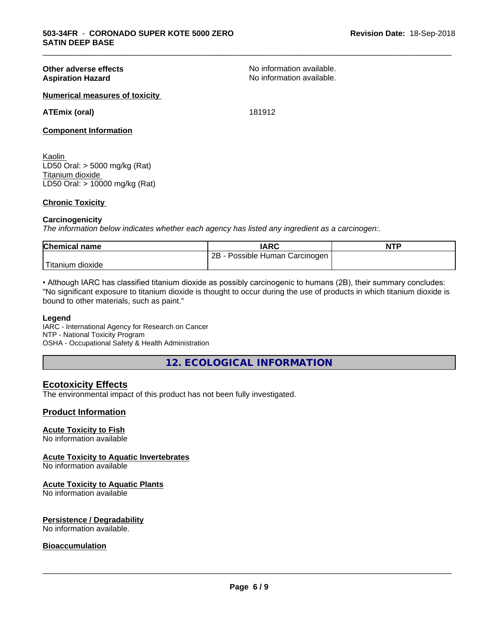**Other adverse effects**<br> **Aspiration Hazard**<br> **Aspiration Hazard**<br> **Aspiration Available.**<br>
No information available. No information available.

\_\_\_\_\_\_\_\_\_\_\_\_\_\_\_\_\_\_\_\_\_\_\_\_\_\_\_\_\_\_\_\_\_\_\_\_\_\_\_\_\_\_\_\_\_\_\_\_\_\_\_\_\_\_\_\_\_\_\_\_\_\_\_\_\_\_\_\_\_\_\_\_\_\_\_\_\_\_\_\_\_\_\_\_\_\_\_\_\_\_\_\_\_

# **Numerical measures of toxicity**

# **ATEmix (oral)** 181912

# **Component Information**

Kaolin LD50 Oral: > 5000 mg/kg (Rat) Titanium dioxide LD50 Oral: > 10000 mg/kg (Rat)

# **Chronic Toxicity**

## **Carcinogenicity**

*The information below indicateswhether each agency has listed any ingredient as a carcinogen:.*

| <b>Chemical</b><br>name | <b>IARC</b>                             | <b>NTP</b> |
|-------------------------|-----------------------------------------|------------|
|                         | 2B<br>Human<br>Carcinogen<br>Possible L |            |
| 'Titanium<br>dioxide    |                                         |            |

• Although IARC has classified titanium dioxide as possibly carcinogenic to humans (2B), their summary concludes: "No significant exposure to titanium dioxide is thought to occur during the use of products in which titanium dioxide is bound to other materials, such as paint."

### **Legend**

IARC - International Agency for Research on Cancer NTP - National Toxicity Program OSHA - Occupational Safety & Health Administration

**12. ECOLOGICAL INFORMATION**

# **Ecotoxicity Effects**

The environmental impact of this product has not been fully investigated.

# **Product Information**

# **Acute Toxicity to Fish**

No information available

# **Acute Toxicity to Aquatic Invertebrates**

No information available

# **Acute Toxicity to Aquatic Plants**

No information available

# **Persistence / Degradability**

No information available.

# **Bioaccumulation**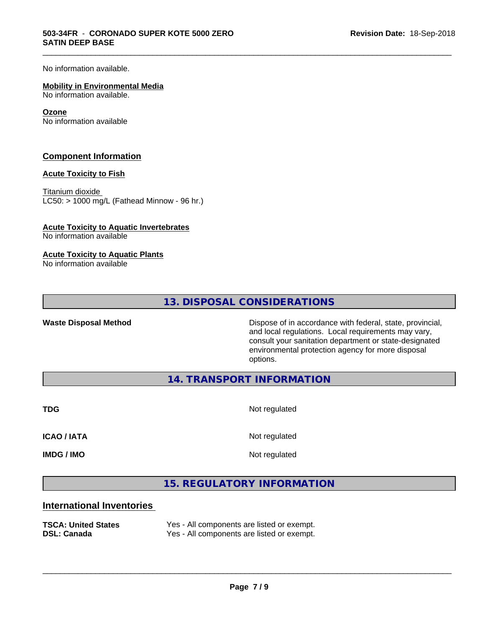No information available.

#### **Mobility in Environmental Media**

No information available.

### **Ozone**

No information available

# **Component Information**

## **Acute Toxicity to Fish**

Titanium dioxide  $LCS0: > 1000$  mg/L (Fathead Minnow - 96 hr.)

## **Acute Toxicity to Aquatic Invertebrates**

No information available

## **Acute Toxicity to Aquatic Plants**

No information available

**13. DISPOSAL CONSIDERATIONS**

Waste Disposal Method **Dispose of in accordance with federal, state, provincial,** and local regulations. Local requirements may vary, consult your sanitation department or state-designated environmental protection agency for more disposal options.

**14. TRANSPORT INFORMATION**

**TDG** Not regulated

\_\_\_\_\_\_\_\_\_\_\_\_\_\_\_\_\_\_\_\_\_\_\_\_\_\_\_\_\_\_\_\_\_\_\_\_\_\_\_\_\_\_\_\_\_\_\_\_\_\_\_\_\_\_\_\_\_\_\_\_\_\_\_\_\_\_\_\_\_\_\_\_\_\_\_\_\_\_\_\_\_\_\_\_\_\_\_\_\_\_\_\_\_

**ICAO / IATA** Not regulated

**IMDG / IMO** Not regulated

 $\overline{\phantom{a}}$  ,  $\overline{\phantom{a}}$  ,  $\overline{\phantom{a}}$  ,  $\overline{\phantom{a}}$  ,  $\overline{\phantom{a}}$  ,  $\overline{\phantom{a}}$  ,  $\overline{\phantom{a}}$  ,  $\overline{\phantom{a}}$  ,  $\overline{\phantom{a}}$  ,  $\overline{\phantom{a}}$  ,  $\overline{\phantom{a}}$  ,  $\overline{\phantom{a}}$  ,  $\overline{\phantom{a}}$  ,  $\overline{\phantom{a}}$  ,  $\overline{\phantom{a}}$  ,  $\overline{\phantom{a}}$ 

**15. REGULATORY INFORMATION**

# **International Inventories**

**TSCA: United States** Yes - All components are listed or exempt. **DSL: Canada** Yes - All components are listed or exempt.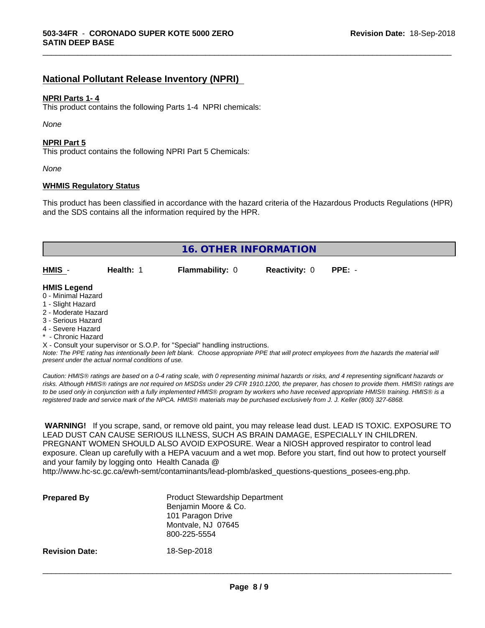# **National Pollutant Release Inventory (NPRI)**

# **NPRI Parts 1- 4**

This product contains the following Parts 1-4 NPRI chemicals:

*None*

## **NPRI Part 5**

This product contains the following NPRI Part 5 Chemicals:

*None*

# **WHMIS Regulatory Status**

This product has been classified in accordance with the hazard criteria of the Hazardous Products Regulations (HPR) and the SDS contains all the information required by the HPR.

\_\_\_\_\_\_\_\_\_\_\_\_\_\_\_\_\_\_\_\_\_\_\_\_\_\_\_\_\_\_\_\_\_\_\_\_\_\_\_\_\_\_\_\_\_\_\_\_\_\_\_\_\_\_\_\_\_\_\_\_\_\_\_\_\_\_\_\_\_\_\_\_\_\_\_\_\_\_\_\_\_\_\_\_\_\_\_\_\_\_\_\_\_

|                     |           | <b>16. OTHER INFORMATION</b> |                      |          |  |
|---------------------|-----------|------------------------------|----------------------|----------|--|
|                     |           |                              |                      |          |  |
| HMIS -              | Health: 1 | Flammability: 0              | <b>Reactivity: 0</b> | $PPE: -$ |  |
|                     |           |                              |                      |          |  |
| <b>HMIS Legend</b>  |           |                              |                      |          |  |
| 0 - Minimal Hazard  |           |                              |                      |          |  |
| 1 - Slight Hazard   |           |                              |                      |          |  |
| 2 - Moderate Hazard |           |                              |                      |          |  |
| 3 - Serious Hazard  |           |                              |                      |          |  |
| 4 - Severe Hazard   |           |                              |                      |          |  |
| * - Chronic Hazard  |           |                              |                      |          |  |

X - Consult your supervisor or S.O.P. for "Special" handling instructions.

*Note: The PPE rating has intentionally been left blank. Choose appropriate PPE that will protect employees from the hazards the material will present under the actual normal conditions of use.*

*Caution: HMISÒ ratings are based on a 0-4 rating scale, with 0 representing minimal hazards or risks, and 4 representing significant hazards or risks. Although HMISÒ ratings are not required on MSDSs under 29 CFR 1910.1200, the preparer, has chosen to provide them. HMISÒ ratings are to be used only in conjunction with a fully implemented HMISÒ program by workers who have received appropriate HMISÒ training. HMISÒ is a registered trade and service mark of the NPCA. HMISÒ materials may be purchased exclusively from J. J. Keller (800) 327-6868.*

 **WARNING!** If you scrape, sand, or remove old paint, you may release lead dust. LEAD IS TOXIC. EXPOSURE TO LEAD DUST CAN CAUSE SERIOUS ILLNESS, SUCH AS BRAIN DAMAGE, ESPECIALLY IN CHILDREN. PREGNANT WOMEN SHOULD ALSO AVOID EXPOSURE.Wear a NIOSH approved respirator to control lead exposure. Clean up carefully with a HEPA vacuum and a wet mop. Before you start, find out how to protect yourself and your family by logging onto Health Canada @ http://www.hc-sc.gc.ca/ewh-semt/contaminants/lead-plomb/asked\_questions-questions\_posees-eng.php.

| <b>Prepared By</b>    | <b>Product Stewardship Department</b><br>Benjamin Moore & Co.<br>101 Paragon Drive<br>Montvale, NJ 07645<br>800-225-5554 |  |
|-----------------------|--------------------------------------------------------------------------------------------------------------------------|--|
| <b>Revision Date:</b> | 18-Sep-2018                                                                                                              |  |